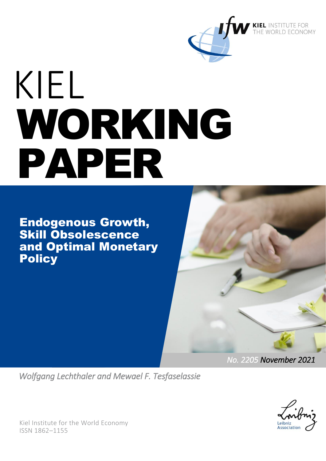

# KIEL WORKING PAPER

Endogenous Growth, Skill Obsolescence and Optimal Monetary **Policy** 



*No. 2205 November 2021* 

*Wolfgang Lechthaler and Mewael F. Tesfaselassie* 



Kiel Institute for the World Economy ISSN 1862–1155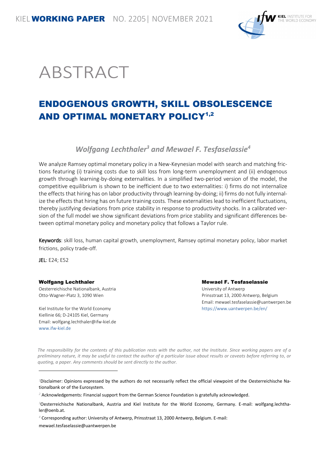

# ABSTRACT

# ENDOGENOUS GROWTH, SKILL OBSOLESCENCE AND OPTIMAL MONETARY POLICY<sup>1,2</sup>

*Wolfgang Lechthaler<sup>3</sup> and Mewael F. Tesfaselassie<sup>4</sup>*

We analyze Ramsey optimal monetary policy in a New-Keynesian model with search and matching frictions featuring (i) training costs due to skill loss from long-term unemployment and (ii) endogenous growth through learning-by-doing externalities. In a simplified two-period version of the model, the competitive equilibrium is shown to be inefficient due to two externalities: i) firms do not internalize the effects that hiring has on labor productivity through learning-by-doing; ii) firms do not fully internalize the effects that hiring has on future training costs. These externalities lead to inefficient fluctuations, thereby justifying deviations from price stability in response to productivity shocks. In a calibrated version of the full model we show significant deviations from price stability and significant differences between optimal monetary policy and monetary policy that follows a Taylor rule.

Keywords: skill loss, human capital growth, unemployment, Ramsey optimal monetary policy, labor market frictions, policy trade-off.

JEL: E24; E52

l

#### Wolfgang Lechthaler

Oesterreichische Nationalbank, Austria Otto-Wagner-Platz 3, 1090 Wien

Kiel Institute for the World Economy Kiellinie 66; D-24105 Kiel, Germany Email: wolfgang.lechthaler@ifw-kiel.de [www.ifw-kiel.de](http://www.ifw-kiel.de/) 

Mewael F. Tesfaselassie University of Antwerp

Prinsstraat 13, 2000 Antwerp, Belgium Email: mewael.tesfaselassie@uantwerpen.be https://www.uantwerpen.be/en/

*The responsibility for the contents of this publication rests with the author, not the Institute. Since working papers are of a preliminary nature, it may be useful to contact the author of a particular issue about results or caveats before referring to, or quoting, a paper. Any comments should be sent directly to the author.* 

*1*Disclaimer: Opinions expressed by the authors do not necessarily reflect the official viewpoint of the Oesterreichische Nationalbank or of the Eurosystem.

mewael.tesfaselassie@uantwerpen.be

*<sup>2</sup>* Acknowledgements: Financial support from the German Science Foundation is gratefully acknowledged.

*<sup>3</sup>*Oesterreichische Nationalbank, Austria and Kiel Institute for the World Economy, Germany. E-mail: wolfgang.lechthaler@oenb.at.

*<sup>4</sup>* Corresponding author: University of Antwerp, Prinsstraat 13, 2000 Antwerp, Belgium. E-mail: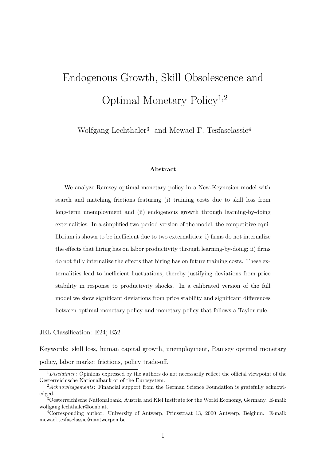# Endogenous Growth, Skill Obsolescence and Optimal Monetary Policy1,2

Wolfgang Lechthaler<sup>3</sup> and Mewael F. Tesfaselassie<sup>4</sup>

#### Abstract

We analyze Ramsey optimal monetary policy in a New-Keynesian model with search and matching frictions featuring (i) training costs due to skill loss from long-term unemployment and (ii) endogenous growth through learning-by-doing externalities. In a simplified two-period version of the model, the competitive equilibrium is shown to be inefficient due to two externalities: i) firms do not internalize the effects that hiring has on labor productivity through learning-by-doing; ii) firms do not fully internalize the effects that hiring has on future training costs. These externalities lead to inefficient fluctuations, thereby justifying deviations from price stability in response to productivity shocks. In a calibrated version of the full model we show significant deviations from price stability and significant differences between optimal monetary policy and monetary policy that follows a Taylor rule.

JEL Classification: E24; E52

Keywords: skill loss, human capital growth, unemployment, Ramsey optimal monetary policy, labor market frictions, policy trade-off.

 $1$  Disclaimer: Opinions expressed by the authors do not necessarily reflect the official viewpoint of the Oesterreichische Nationalbank or of the Eurosystem.

 $2$ Acknowledgements: Financial support from the German Science Foundation is gratefully acknowledged.

<sup>3</sup>Oesterreichische Nationalbank, Austria and Kiel Institute for the World Economy, Germany. E-mail: wolfgang.lechthaler@oenb.at.

<sup>4</sup>Corresponding author: University of Antwerp, Prinsstraat 13, 2000 Antwerp, Belgium. E-mail: mewael.tesfaselassie@uantwerpen.be.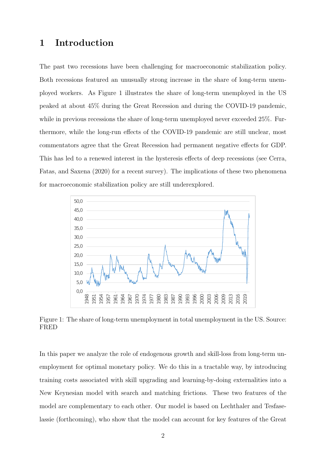# 1 Introduction

The past two recessions have been challenging for macroeconomic stabilization policy. Both recessions featured an unusually strong increase in the share of long-term unemployed workers. As Figure 1 illustrates the share of long-term unemployed in the US peaked at about 45% during the Great Recession and during the COVID-19 pandemic, while in previous recessions the share of long-term unemployed never exceeded 25%. Furthermore, while the long-run effects of the COVID-19 pandemic are still unclear, most commentators agree that the Great Recession had permanent negative effects for GDP. This has led to a renewed interest in the hysteresis effects of deep recessions (see Cerra, Fatas, and Saxena (2020) for a recent survey). The implications of these two phenomena for macroeconomic stabilization policy are still underexplored.



Figure 1: The share of long-term unemployment in total unemployment in the US. Source: FRED

In this paper we analyze the role of endogenous growth and skill-loss from long-term unemployment for optimal monetary policy. We do this in a tractable way, by introducing training costs associated with skill upgrading and learning-by-doing externalities into a New Keynesian model with search and matching frictions. These two features of the model are complementary to each other. Our model is based on Lechthaler and Tesfaselassie (forthcoming), who show that the model can account for key features of the Great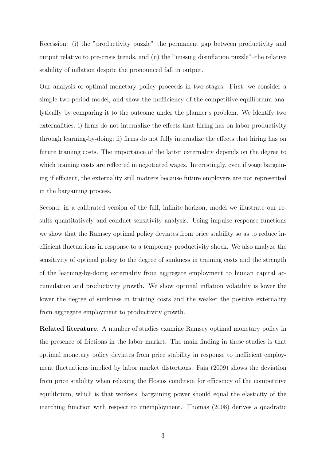Recession: (i) the "productivity puzzle"–the permanent gap between productivity and output relative to pre-crisis trends, and (ii) the "missing disinflation puzzle"–the relative stability of inflation despite the pronounced fall in output.

Our analysis of optimal monetary policy proceeds in two stages. First, we consider a simple two-period model, and show the inefficiency of the competitive equilibrium analytically by comparing it to the outcome under the planner's problem. We identify two externalities: i) firms do not internalize the effects that hiring has on labor productivity through learning-by-doing; ii) firms do not fully internalize the effects that hiring has on future training costs. The importance of the latter externality depends on the degree to which training costs are reflected in negotiated wages. Interestingly, even if wage bargaining if efficient, the externality still matters because future employers are not represented in the bargaining process.

Second, in a calibrated version of the full, infinite-horizon, model we illustrate our results quantitatively and conduct sensitivity analysis. Using impulse response functions we show that the Ramsey optimal policy deviates from price stability so as to reduce inefficient fluctuations in response to a temporary productivity shock. We also analyze the sensitivity of optimal policy to the degree of sunkness in training costs and the strength of the learning-by-doing externality from aggregate employment to human capital accumulation and productivity growth. We show optimal inflation volatility is lower the lower the degree of sunkness in training costs and the weaker the positive externality from aggregate employment to productivity growth.

Related literature. A number of studies examine Ramsey optimal monetary policy in the presence of frictions in the labor market. The main finding in these studies is that optimal monetary policy deviates from price stability in response to inefficient employment fluctuations implied by labor market distortions. Faia (2009) shows the deviation from price stability when relaxing the Hosios condition for efficiency of the competitive equilibrium, which is that workers' bargaining power should equal the elasticity of the matching function with respect to unemployment. Thomas (2008) derives a quadratic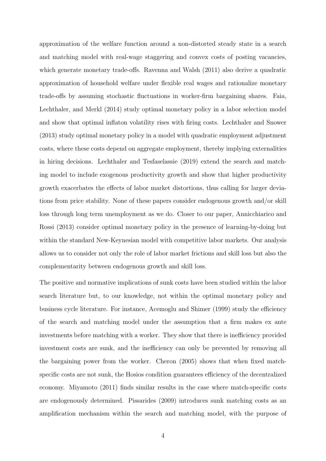approximation of the welfare function around a non-distorted steady state in a search and matching model with real-wage staggering and convex costs of posting vacancies, which generate monetary trade-offs. Ravenna and Walsh (2011) also derive a quadratic approximation of household welfare under flexible real wages and rationalize monetary trade-offs by assuming stochastic fluctuations in worker-firm bargaining shares. Faia, Lechthaler, and Merkl (2014) study optimal monetary policy in a labor selection model and show that optimal inflaton volatility rises with firing costs. Lechthaler and Snower (2013) study optimal monetary policy in a model with quadratic employment adjustment costs, where these costs depend on aggregate employment, thereby implying externalities in hiring decisions. Lechthaler and Tesfaselassie (2019) extend the search and matching model to include exogenous productivity growth and show that higher productivity growth exacerbates the effects of labor market distortions, thus calling for larger deviations from price stability. None of these papers consider endogenous growth and/or skill loss through long term unemployment as we do. Closer to our paper, Annicchiarico and Rossi (2013) consider optimal monetary policy in the presence of learning-by-doing but within the standard New-Keynesian model with competitive labor markets. Our analysis allows us to consider not only the role of labor market frictions and skill loss but also the complementarity between endogenous growth and skill loss.

The positive and normative implications of sunk costs have been studied within the labor search literature but, to our knowledge, not within the optimal monetary policy and business cycle literature. For instance, Acemoglu and Shimer (1999) study the efficiency of the search and matching model under the assumption that a firm makes ex ante investments before matching with a worker. They show that there is inefficiency provided investment costs are sunk, and the inefficiency can only be prevented by removing all the bargaining power from the worker. Cheron (2005) shows that when fixed matchspecific costs are not sunk, the Hosios condition guarantees efficiency of the decentralized economy. Miyamoto (2011) finds similar results in the case where match-specific costs are endogenously determined. Pissarides (2009) introduces sunk matching costs as an amplification mechanism within the search and matching model, with the purpose of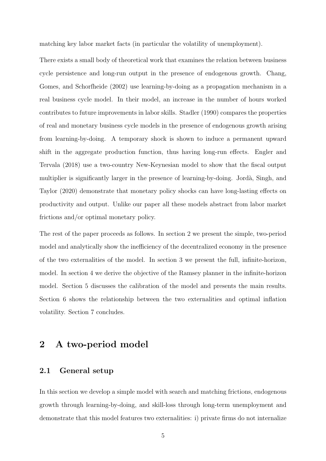matching key labor market facts (in particular the volatility of unemployment).

There exists a small body of theoretical work that examines the relation between business cycle persistence and long-run output in the presence of endogenous growth. Chang, Gomes, and Schorfheide (2002) use learning-by-doing as a propagation mechanism in a real business cycle model. In their model, an increase in the number of hours worked contributes to future improvements in labor skills. Stadler (1990) compares the properties of real and monetary business cycle models in the presence of endogenous growth arising from learning-by-doing. A temporary shock is shown to induce a permanent upward shift in the aggregate production function, thus having long-run effects. Engler and Tervala (2018) use a two-country New-Keynesian model to show that the fiscal output multiplier is significantly larger in the presence of learning-by-doing. Jordà, Singh, and Taylor (2020) demonstrate that monetary policy shocks can have long-lasting effects on productivity and output. Unlike our paper all these models abstract from labor market frictions and/or optimal monetary policy.

The rest of the paper proceeds as follows. In section 2 we present the simple, two-period model and analytically show the inefficiency of the decentralized economy in the presence of the two externalities of the model. In section 3 we present the full, infinite-horizon, model. In section 4 we derive the objective of the Ramsey planner in the infinite-horizon model. Section 5 discusses the calibration of the model and presents the main results. Section 6 shows the relationship between the two externalities and optimal inflation volatility. Section 7 concludes.

# 2 A two-period model

#### 2.1 General setup

In this section we develop a simple model with search and matching frictions, endogenous growth through learning-by-doing, and skill-loss through long-term unemployment and demonstrate that this model features two externalities: i) private firms do not internalize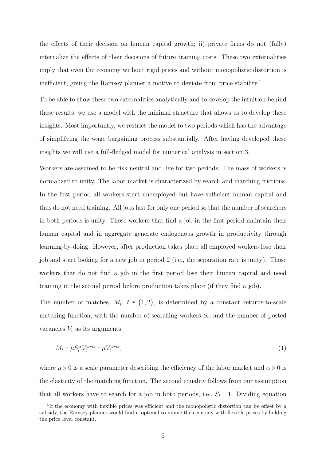the effects of their decision on human capital growth; ii) private firms do not (fully) internalize the effects of their decisions of future training costs. These two externalities imply that even the economy without rigid prices and without monopolistic distortion is inefficient, giving the Ramsey planner a motive to deviate from price stability.<sup>1</sup>

To be able to show these two externalities analytically and to develop the intuition behind these results, we use a model with the minimal structure that allows us to develop these insights. Most importantly, we restrict the model to two periods which has the advantage of simplifying the wage bargaining process substantially. After having developed these insights we will use a full-fledged model for numerical analysis in section 3.

Workers are assumed to be risk neutral and live for two periods. The mass of workers is normalized to unity. The labor market is characterized by search and matching frictions. In the first period all workers start unemployed but have sufficient human capital and thus do not need training. All jobs last for only one period so that the number of searchers in both periods is unity. Those workers that find a job in the first period maintain their human capital and in aggregate generate endogenous growth in productivity through learning-by-doing. However, after production takes place all employed workers lose their job and start looking for a new job in period 2 (i.e., the separation rate is unity). Those workers that do not find a job in the first period lose their human capital and need training in the second period before production takes place (if they find a job).

The number of matches,  $M_t$ ,  $t \in \{1, 2\}$ , is determined by a constant returns-to-scale matching function, with the number of searching workers  $S_t$ , and the number of posted vacancies  $V_t$  as its arguments

$$
M_t = \mu S_t^{\alpha} V_t^{1-\alpha} = \mu V_t^{1-\alpha},\tag{1}
$$

where  $\mu > 0$  is a scale parameter describing the efficiency of the labor market and  $\alpha > 0$  is the elasticity of the matching function. The second equality follows from our assumption that all workers have to search for a job in both periods, i.e.,  $S_t = 1$ . Dividing equation

<sup>&</sup>lt;sup>1</sup>If the economy with flexible prices was efficient and the monopolistic distortion can be offset by a subsidy, the Ramsey planner would find it optimal to mimic the economy with flexible prices by holding the price level constant.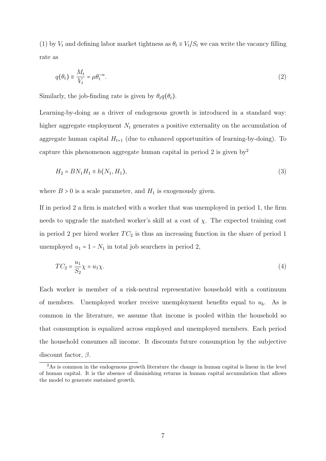(1) by  $V_t$  and defining labor market tightness as  $\theta_t \equiv V_t/S_t$  we can write the vacancy filling rate as

$$
q(\theta_t) \equiv \frac{M_t}{V_t} = \mu \theta_t^{-\alpha}.
$$
\n<sup>(2)</sup>

Similarly, the job-finding rate is given by  $\theta_t q(\theta_t)$ .

Learning-by-doing as a driver of endogenous growth is introduced in a standard way: higher aggregate employment  $N_t$  generates a positive externality on the accumulation of aggregate human capital  $H_{t+1}$  (due to enhanced opportunities of learning-by-doing). To capture this phenomenon aggregate human capital in period 2 is given by  $2^2$ 

$$
H_2 = BN_1 H_1 \equiv h(N_1, H_1),\tag{3}
$$

where  $B > 0$  is a scale parameter, and  $H_1$  is exogenously given.

If in period 2 a firm is matched with a worker that was unemployed in period 1, the firm needs to upgrade the matched worker's skill at a cost of  $\chi$ . The expected training cost in period 2 per hired worker  $TC_2$  is thus an increasing function in the share of period 1 unemployed  $u_1 = 1 - N_1$  in total job searchers in period 2,

$$
TC_2 = \frac{u_1}{S_2} \chi = u_1 \chi. \tag{4}
$$

Each worker is member of a risk-neutral representative household with a continuum of members. Unemployed worker receive unemployment benefits equal to  $u<sub>b</sub>$ . As is common in the literature, we assume that income is pooled within the household so that consumption is equalized across employed and unemployed members. Each period the household consumes all income. It discounts future consumption by the subjective discount factor,  $\beta$ .

<sup>&</sup>lt;sup>2</sup>As is common in the endogenous growth literature the change in human capital is linear in the level of human capital. It is the absence of diminishing returns in human capital accumulation that allows the model to generate sustained growth.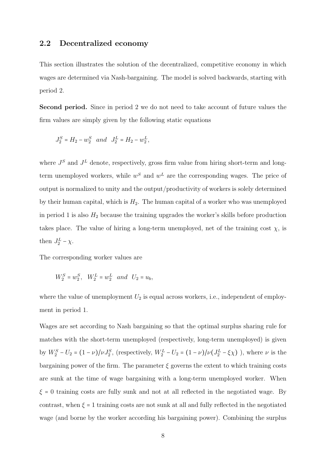#### 2.2 Decentralized economy

This section illustrates the solution of the decentralized, competitive economy in which wages are determined via Nash-bargaining. The model is solved backwards, starting with period 2.

Second period. Since in period 2 we do not need to take account of future values the firm values are simply given by the following static equations

$$
J_2^S = H_2 - w_2^S
$$
 and  $J_2^L = H_2 - w_2^L$ ,

where  $J^S$  and  $J^L$  denote, respectively, gross firm value from hiring short-term and longterm unemployed workers, while  $w<sup>S</sup>$  and  $w<sup>L</sup>$  are the corresponding wages. The price of output is normalized to unity and the output/productivity of workers is solely determined by their human capital, which is  $H_2$ . The human capital of a worker who was unemployed in period 1 is also  $H_2$  because the training upgrades the worker's skills before production takes place. The value of hiring a long-term unemployed, net of the training cost  $\chi$ , is then  $J_2^L$  –  $\chi$ .

The corresponding worker values are

$$
W_2^S = w_2^S, \quad W_2^L = w_2^L \quad and \quad U_2 = u_b,
$$

where the value of unemployment  $U_2$  is equal across workers, i.e., independent of employment in period 1.

Wages are set according to Nash bargaining so that the optimal surplus sharing rule for matches with the short-term unemployed (respectively, long-term unemployed) is given by  $W_2^S - U_2 = (1 - \nu)/\nu J_2^S$ , (respectively,  $W_2^L - U_2 = (1 - \nu)/\nu (J_2^L - \xi \chi)$ ), where  $\nu$  is the bargaining power of the firm. The parameter  $\xi$  governs the extent to which training costs are sunk at the time of wage bargaining with a long-term unemployed worker. When  $\xi = 0$  training costs are fully sunk and not at all reflected in the negotiated wage. By contrast, when  $\xi = 1$  training costs are not sunk at all and fully reflected in the negotiated wage (and borne by the worker according his bargaining power). Combining the surplus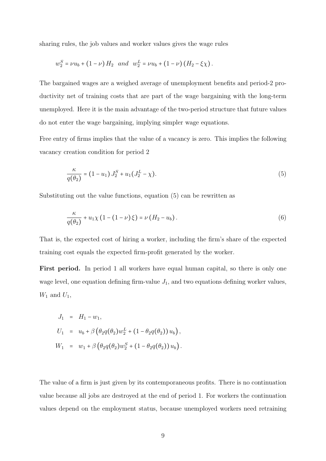sharing rules, the job values and worker values gives the wage rules

$$
w_2^S = \nu u_b + (1 - \nu) H_2
$$
 and  $w_2^L = \nu u_b + (1 - \nu) (H_2 - \xi \chi)$ .

The bargained wages are a weighed average of unemployment benefits and period-2 productivity net of training costs that are part of the wage bargaining with the long-term unemployed. Here it is the main advantage of the two-period structure that future values do not enter the wage bargaining, implying simpler wage equations.

Free entry of firms implies that the value of a vacancy is zero. This implies the following vacancy creation condition for period 2

$$
\frac{\kappa}{q(\theta_2)} = (1 - u_1) J_2^S + u_1 (J_2^L - \chi). \tag{5}
$$

Substituting out the value functions, equation (5) can be rewritten as

$$
\frac{\kappa}{q(\theta_2)} + u_1 \chi \left(1 - \left(1 - \nu\right) \xi\right) = \nu \left(H_2 - u_b\right). \tag{6}
$$

That is, the expected cost of hiring a worker, including the firm's share of the expected training cost equals the expected firm-profit generated by the worker.

First period. In period 1 all workers have equal human capital, so there is only one wage level, one equation defining firm-value  $J_1$ , and two equations defining worker values,  $W_1$  and  $U_1$ ,

$$
J_1 = H_1 - w_1,
$$
  
\n
$$
U_1 = u_b + \beta \left( \theta_2 q(\theta_2) w_2^L + (1 - \theta_2 q(\theta_2)) u_b \right),
$$
  
\n
$$
W_1 = w_1 + \beta \left( \theta_2 q(\theta_2) w_2^S + (1 - \theta_2 q(\theta_2)) u_b \right).
$$

The value of a firm is just given by its contemporaneous profits. There is no continuation value because all jobs are destroyed at the end of period 1. For workers the continuation values depend on the employment status, because unemployed workers need retraining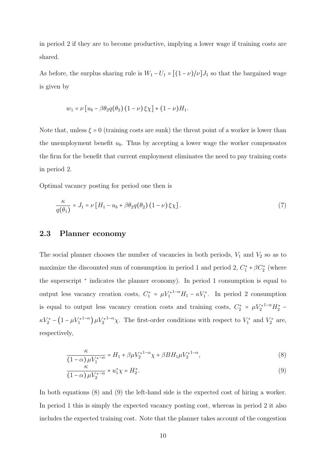in period 2 if they are to become productive, implying a lower wage if training costs are shared.

As before, the surplus sharing rule is  $W_1 - U_1 = [(1 - \nu)/\nu]J_1$  so that the bargained wage is given by

$$
w_1 = \nu \left[ u_b - \beta \theta_2 q(\theta_2) \left( 1 - \nu \right) \xi \chi \right] + (1 - \nu) H_1.
$$

Note that, unless  $\xi = 0$  (training costs are sunk) the threat point of a worker is lower than the unemployment benefit  $u<sub>b</sub>$ . Thus by accepting a lower wage the worker compensates the firm for the benefit that current employment eliminates the need to pay training costs in period 2.

Optimal vacancy posting for period one then is

$$
\frac{\kappa}{q(\theta_1)} = J_1 = \nu \left[ H_1 - u_b + \beta \theta_2 q(\theta_2) \left( 1 - \nu \right) \xi \chi \right]. \tag{7}
$$

#### 2.3 Planner economy

The social planner chooses the number of vacancies in both periods,  $V_1$  and  $V_2$  so as to maximize the discounted sum of consumption in period 1 and period 2,  $C_1^* + \beta C_2^*$  (where the superscript <sup>∗</sup> indicates the planner economy). In period 1 consumption is equal to output less vacancy creation costs,  $C_1^* = \mu V_1^{*1-\alpha} H_1 - \kappa V_1^*$ . In period 2 consumption is equal to output less vacancy creation costs and training costs,  $C_2^* = \mu V_2^{*1-\alpha} H_2^*$  $\kappa V_2^* - (1 - \mu V_1^{*1-\alpha}) \mu V_2^{*1-\alpha} \chi$ . The first-order conditions with respect to  $V_1^*$  and  $V_2^*$  are, respectively,

$$
\frac{\kappa}{(1-\alpha)\,\mu V_1^{*-\alpha}} = H_1 + \beta \mu V_2^{*1-\alpha} \chi + \beta B H_1 \mu V_2^{*1-\alpha},\tag{8}
$$

$$
\frac{\kappa}{\left(1-\alpha\right)\mu V_{2}^{*-\alpha}} + u_{1}^{*}\chi = H_{2}^{*}.
$$
\n
$$
(9)
$$

In both equations (8) and (9) the left-hand side is the expected cost of hiring a worker. In period 1 this is simply the expected vacancy posting cost, whereas in period 2 it also includes the expected training cost. Note that the planner takes account of the congestion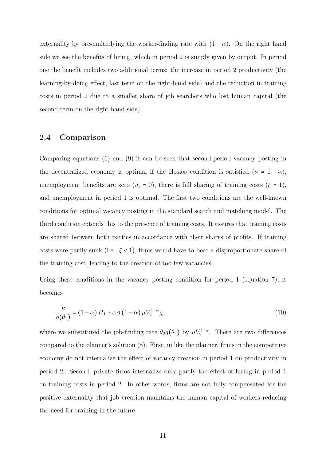externality by pre-multiplying the worker-finding rate with  $(1 - \alpha)$ . On the right hand side we see the benefits of hiring, which in period 2 is simply given by output. In period one the benefit includes two additional terms: the increase in period 2 productivity (the learning-by-doing effect, last term on the right-hand side) and the reduction in training costs in period 2 due to a smaller share of job searchers who lost human capital (the second term on the right-hand side).

#### 2.4 Comparison

Comparing equations (6) and (9) it can be seen that second-period vacancy posting in the decentralized economy is optimal if the Hosios condition is satisfied ( $\nu = 1 - \alpha$ ), unemployment benefits are zero  $(u_b = 0)$ , there is full sharing of training costs  $(\xi = 1)$ , and unemployment in period 1 is optimal. The first two conditions are the well-known conditions for optimal vacancy posting in the standard search and matching model. The third condition extends this to the presence of training costs. It assures that training costs are shared between both parties in accordance with their shares of profits. If training costs were partly sunk (i.e.,  $\xi$  < 1), firms would have to bear a disproportionate share of the training cost, leading to the creation of too few vacancies.

Using these conditions in the vacancy posting condition for period 1 (equation 7), it becomes

$$
\frac{\kappa}{q(\theta_1)} = (1 - \alpha) H_1 + \alpha \beta (1 - \alpha) \mu V_2^{1 - \alpha} \chi,
$$
\n(10)

where we substituted the job-finding rate  $\theta_2 q(\theta_2)$  by  $\mu V_2^{1-\alpha}$ . There are two differences compared to the planner's solution (8). First, unlike the planner, firms in the competitive economy do not internalize the effect of vacancy creation in period 1 on productivity in period 2. Second, private firms internalize only partly the effect of hiring in period 1 on training costs in period 2. In other words, firms are not fully compensated for the positive externality that job creation maintains the human capital of workers reducing the need for training in the future.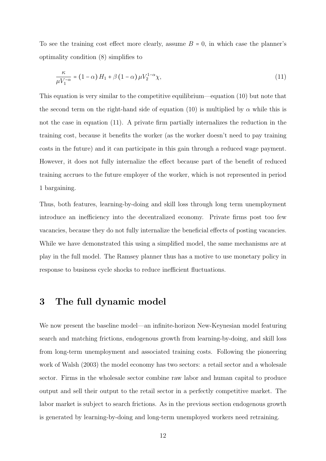To see the training cost effect more clearly, assume  $B = 0$ , in which case the planner's optimality condition (8) simplifies to

$$
\frac{\kappa}{\mu V_1^{-\alpha}} = (1 - \alpha) H_1 + \beta (1 - \alpha) \mu V_2^{1 - \alpha} \chi,
$$
\n(11)

This equation is very similar to the competitive equilibrium—equation (10) but note that the second term on the right-hand side of equation (10) is multiplied by  $\alpha$  while this is not the case in equation (11). A private firm partially internalizes the reduction in the training cost, because it benefits the worker (as the worker doesn't need to pay training costs in the future) and it can participate in this gain through a reduced wage payment. However, it does not fully internalize the effect because part of the benefit of reduced training accrues to the future employer of the worker, which is not represented in period 1 bargaining.

Thus, both features, learning-by-doing and skill loss through long term unemployment introduce an inefficiency into the decentralized economy. Private firms post too few vacancies, because they do not fully internalize the beneficial effects of posting vacancies. While we have demonstrated this using a simplified model, the same mechanisms are at play in the full model. The Ramsey planner thus has a motive to use monetary policy in response to business cycle shocks to reduce inefficient fluctuations.

### 3 The full dynamic model

We now present the baseline model—an infinite-horizon New-Keynesian model featuring search and matching frictions, endogenous growth from learning-by-doing, and skill loss from long-term unemployment and associated training costs. Following the pioneering work of Walsh (2003) the model economy has two sectors: a retail sector and a wholesale sector. Firms in the wholesale sector combine raw labor and human capital to produce output and sell their output to the retail sector in a perfectly competitive market. The labor market is subject to search frictions. As in the previous section endogenous growth is generated by learning-by-doing and long-term unemployed workers need retraining.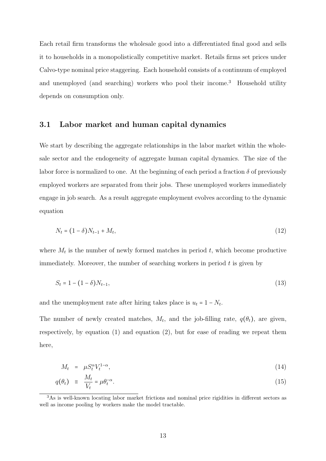Each retail firm transforms the wholesale good into a differentiated final good and sells it to households in a monopolistically competitive market. Retails firms set prices under Calvo-type nominal price staggering. Each household consists of a continuum of employed and unemployed (and searching) workers who pool their income.<sup>3</sup> Household utility depends on consumption only.

#### 3.1 Labor market and human capital dynamics

We start by describing the aggregate relationships in the labor market within the wholesale sector and the endogeneity of aggregate human capital dynamics. The size of the labor force is normalized to one. At the beginning of each period a fraction  $\delta$  of previously employed workers are separated from their jobs. These unemployed workers immediately engage in job search. As a result aggregate employment evolves according to the dynamic equation

$$
N_t = (1 - \delta)N_{t-1} + M_t, \tag{12}
$$

where  $M_t$  is the number of newly formed matches in period  $t$ , which become productive immediately. Moreover, the number of searching workers in period  $t$  is given by

$$
S_t = 1 - (1 - \delta)N_{t-1},\tag{13}
$$

and the unemployment rate after hiring takes place is  $u_t = 1 - N_t$ .

The number of newly created matches,  $M_t$ , and the job-filling rate,  $q(\theta_t)$ , are given, respectively, by equation (1) and equation (2), but for ease of reading we repeat them here,

$$
M_t = \mu S_t^{\alpha} V_t^{1-\alpha}, \tag{14}
$$

$$
q(\theta_t) \equiv \frac{M_t}{V_t} = \mu \theta_t^{-\alpha}.
$$
\n(15)

<sup>3</sup>As is well-known locating labor market frictions and nominal price rigidities in different sectors as well as income pooling by workers make the model tractable.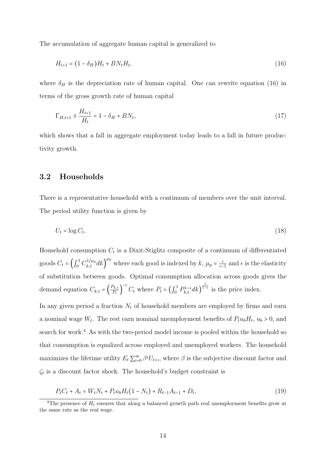The accumulation of aggregate human capital is generalized to

$$
H_{t+1} = (1 - \delta_H)H_t + BN_tH_t, \tag{16}
$$

where  $\delta_H$  is the depreciation rate of human capital. One can rewrite equation (16) in terms of the gross growth rate of human capital

$$
\Gamma_{H,t+1} \equiv \frac{H_{t+1}}{H_t} = 1 - \delta_H + BN_t,\tag{17}
$$

which shows that a fall in aggregate employment today leads to a fall in future productivity growth.

#### 3.2 Households

There is a representative household with a continuum of members over the unit interval. The period utility function is given by

$$
U_t = \log C_t. \tag{18}
$$

Household consumption  $C_t$  is a Dixit-Stiglitz composite of a continuum of differentiated goods  $C_t = \left(\int_0^1 C_{k,t}^{1/\mu_p} dk\right)^{\mu_p}$  where each good is indexed by  $k, \mu_p = \frac{\epsilon}{\epsilon-1}$  and  $\epsilon$  is the elasticity of substitution between goods. Optimal consumption allocation across goods gives the demand equation  $C_{k,t} = \left(\frac{P_{k,t}}{P_t}\right)$  $\frac{\kappa,\iota}{P_t}$  $^{-\epsilon}$ C<sub>t</sub> where  $P_t = \left(\int_0^1 P_{k,t}^{1-\epsilon} dk\right)$  $\frac{1}{1-\epsilon}$  is the price index.

In any given period a fraction  $N_t$  of household members are employed by firms and earn a nominal wage  $W_t$ . The rest earn nominal unemployment benefits of  $P_t u_b H_t$ ,  $u_b > 0$ , and search for work.<sup>4</sup> As with the two-period model income is pooled within the household so that consumption is equalized across employed and unemployed workers. The household maximizes the lifetime utility  $E_t \sum_{i=0}^{\infty} \beta^i U_{t+i}$ , where  $\beta$  is the subjective discount factor and  $\zeta_t$  is a discount factor shock. The household's budget constraint is

$$
P_t C_t + A_t = W_t N_t + P_t u_b H_t (1 - N_t) + R_{t-1} A_{t-1} + D_t,
$$
\n(19)

<sup>&</sup>lt;sup>4</sup>The presence of  $H_t$  ensures that along a balanced growth path real unemployment benefits grow at the same rate as the real wage.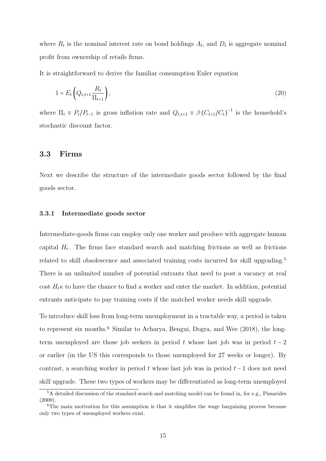where  $R_t$  is the nominal interest rate on bond holdings  $A_t$ , and  $D_t$  is aggregate nominal profit from ownership of retails firms.

It is straightforward to derive the familiar consumption Euler equation

$$
1 = E_t \left( Q_{t,t+1} \frac{R_t}{\Pi_{t+1}} \right),\tag{20}
$$

where  $\Pi_t \equiv P_t/P_{t-1}$  is gross inflation rate and  $Q_{t,t+1} \equiv \beta (C_{t+1}/C_t)^{-1}$  is the household's stochastic discount factor.

#### 3.3 Firms

Next we describe the structure of the intermediate goods sector followed by the final goods sector.

#### 3.3.1 Intermediate goods sector

Intermediate-goods firms can employ only one worker and produce with aggregate human capital  $H_t$ . The firms face standard search and matching frictions as well as frictions related to skill obsolescence and associated training costs incurred for skill upgrading.<sup>5</sup> There is an unlimited number of potential entrants that need to post a vacancy at real cost  $H_t\kappa$  to have the chance to find a worker and enter the market. In addition, potential entrants anticipate to pay training costs if the matched worker needs skill upgrade.

To introduce skill loss from long-term unemployment in a tractable way, a period is taken to represent six months.<sup>6</sup> Similar to Acharya, Bengui, Dogra, and Wee (2018), the longterm unemployed are those job seekers in period t whose last job was in period  $t - 2$ or earlier (in the US this corresponds to those unemployed for 27 weeks or longer). By contrast, a searching worker in period t whose last job was in period  $t - 1$  does not need skill upgrade. These two types of workers may be differentiated as long-term unemployed

<sup>5</sup>A detailed discussion of the standard search and matching model can be found in, for e.g., Pissarides  $(2000)$ .

 $6$ The main motivation for this assumption is that it simplifies the wage bargaining process because only two types of unemployed workers exist.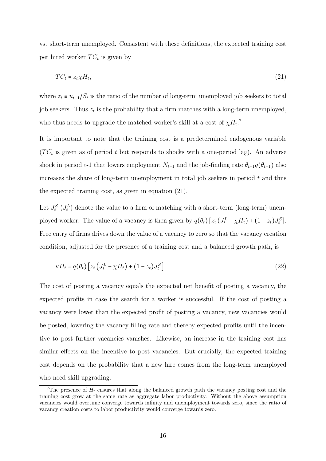vs. short-term unemployed. Consistent with these definitions, the expected training cost per hired worker  $TC_t$  is given by

$$
TC_t = z_t \chi H_t,\tag{21}
$$

where  $z_t \equiv u_{t-1}/S_t$  is the ratio of the number of long-term unemployed job seekers to total job seekers. Thus  $z_t$  is the probability that a firm matches with a long-term unemployed, who thus needs to upgrade the matched worker's skill at a cost of  $\chi H_t$ .<sup>7</sup>

It is important to note that the training cost is a predetermined endogenous variable  $(T C_t$  is given as of period t but responds to shocks with a one-period lag). An adverse shock in period t-1 that lowers employment  $N_{t-1}$  and the job-finding rate  $\theta_{t-1}q(\theta_{t-1})$  also increases the share of long-term unemployment in total job seekers in period  $t$  and thus the expected training cost, as given in equation (21).

Let  $J_t^S$  ( $J_t^L$ ) denote the value to a firm of matching with a short-term (long-term) unemployed worker. The value of a vacancy is then given by  $q(\theta_t) [z_t (J_t^L - \chi H_t) + (1 - z_t) J_t^S]$ . Free entry of firms drives down the value of a vacancy to zero so that the vacancy creation condition, adjusted for the presence of a training cost and a balanced growth path, is

$$
\kappa H_t = q(\theta_t) \left[ z_t \left( J_t^L - \chi H_t \right) + (1 - z_t) J_t^S \right]. \tag{22}
$$

The cost of posting a vacancy equals the expected net benefit of posting a vacancy, the expected profits in case the search for a worker is successful. If the cost of posting a vacancy were lower than the expected profit of posting a vacancy, new vacancies would be posted, lowering the vacancy filling rate and thereby expected profits until the incentive to post further vacancies vanishes. Likewise, an increase in the training cost has similar effects on the incentive to post vacancies. But crucially, the expected training cost depends on the probability that a new hire comes from the long-term unemployed who need skill upgrading.

<sup>&</sup>lt;sup>7</sup>The presence of  $H_t$  ensures that along the balanced growth path the vacancy posting cost and the training cost grow at the same rate as aggregate labor productivity. Without the above assumption vacancies would overtime converge towards infinity and unemployment towards zero, since the ratio of vacancy creation costs to labor productivity would converge towards zero.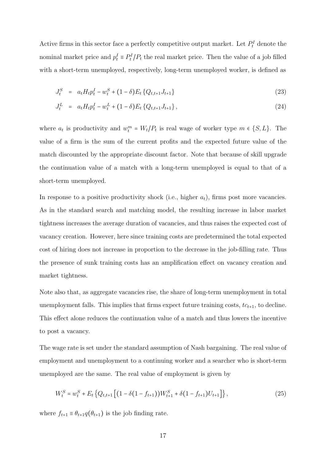Active firms in this sector face a perfectly competitive output market. Let  $P_t^I$  denote the nominal market price and  $p_t^I \equiv P_t^I/P_t$  the real market price. Then the value of a job filled with a short-term unemployed, respectively, long-term unemployed worker, is defined as

$$
J_t^S = a_t H_t p_t^I - w_t^S + (1 - \delta) E_t \{Q_{t,t+1} J_{t+1}\}
$$
\n(23)

$$
J_t^L = a_t H_t p_t^I - w_t^L + (1 - \delta) E_t \{Q_{t,t+1} J_{t+1}\},\tag{24}
$$

where  $a_t$  is productivity and  $w_t^m = W_t/P_t$  is real wage of worker type  $m \in \{S, L\}$ . The value of a firm is the sum of the current profits and the expected future value of the match discounted by the appropriate discount factor. Note that because of skill upgrade the continuation value of a match with a long-term unemployed is equal to that of a short-term unemployed.

In response to a positive productivity shock (i.e., higher  $a_t$ ), firms post more vacancies. As in the standard search and matching model, the resulting increase in labor market tightness increases the average duration of vacancies, and thus raises the expected cost of vacancy creation. However, here since training costs are predetermined the total expected cost of hiring does not increase in proportion to the decrease in the job-filling rate. Thus the presence of sunk training costs has an amplification effect on vacancy creation and market tightness.

Note also that, as aggregate vacancies rise, the share of long-term unemployment in total unemployment falls. This implies that firms expect future training costs,  $tc_{t+1}$ , to decline. This effect alone reduces the continuation value of a match and thus lowers the incentive to post a vacancy.

The wage rate is set under the standard assumption of Nash bargaining. The real value of employment and unemployment to a continuing worker and a searcher who is short-term unemployed are the same. The real value of employment is given by

$$
W_t^S = w_t^S + E_t \left\{ Q_{t,t+1} \left[ \left( 1 - \delta \left( 1 - f_{t+1} \right) \right) W_{t+1}^S + \delta \left( 1 - f_{t+1} \right) U_{t+1} \right] \right\},\tag{25}
$$

where  $f_{t+1} \equiv \theta_{t+1} q(\theta_{t+1})$  is the job finding rate.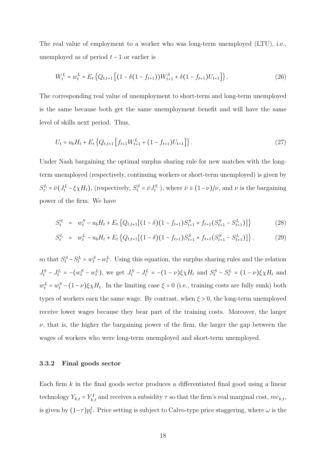The real value of employment to a worker who was long-term unemployed (LTU), i.e., unemployed as of period  $t - 1$  or earlier is

$$
W_t^L = w_t^L + E_t \left\{ Q_{t,t+1} \left[ \left( 1 - \delta \left( 1 - f_{t+1} \right) \right) W_{t+1}^S + \delta \left( 1 - f_{t+1} \right) U_{t+1} \right] \right\}.
$$
 (26)

The corresponding real value of unemployment to short-term and long-term unemployed is the same because both get the same unemployment benefit and will have the same level of skills next period. Thus,

$$
U_t = u_b H_t + E_t \left\{ Q_{t,t+1} \left[ f_{t+1} W_{t+1}^L + (1 - f_{t+1}) U_{t+1} \right] \right\}.
$$
\n(27)

Under Nash bargaining the optimal surplus sharing rule for new matches with the longterm unemployed (respectively, continuing workers or short-term unemployed) is given by  $S_t^L = \bar{\nu} (J_t^L - \xi \chi H_t)$ , (respectively,  $S_t^S = \bar{\nu} J_t^S$ ), where  $\bar{\nu} \equiv (1 - \nu)/\nu$ , and  $\nu$  is the bargaining power of the firm. We have

$$
S_t^S = w_t^S - u_b H_t + E_t \left\{ Q_{t,t+1} \left[ (1 - \delta)(1 - f_{t+1}) S_{t+1}^S + f_{t+1} (S_{t+1}^S - S_{t+1}^L) \right] \right\} \tag{28}
$$

$$
S_t^L = w_t^L - u_b H_t + E_t \left\{ Q_{t,t+1} \left[ (1-\delta)(1 - f_{t+1}) S_{t+1}^S + f_{t+1} (S_{t+1}^S - S_{t+1}^L) \right] \right\},\tag{29}
$$

so that  $S_t^S - S_t^L = w_t^S - w_t^L$ . Using this equation, the surplus sharing rules and the relation  $J_t^S - J_t^L = -(w_t^S - w_t^L)$ , we get  $J_t^S - J_t^L = -(1 - \nu)\xi \chi H_t$  and  $S_t^S - S_t^L = (1 - \nu)\xi \chi H_t$  and  $w_t^L = w_t^S - (1 - \nu)\xi \chi H_t$ . In the limiting case  $\xi = 0$  (i.e., training costs are fully sunk) both types of workers earn the same wage. By contrast, when  $\xi > 0$ , the long-term unemployed receive lower wages because they bear part of the training costs. Moreover, the larger  $\nu$ , that is, the higher the bargaining power of the firm, the larger the gap between the wages of workers who were long-term unemployed and short-term unemployed.

#### 3.3.2 Final goods sector

Each firm  $k$  in the final goods sector produces a differentiated final good using a linear technology  $Y_{k,t} = Y_{k,t}^I$  and receives a subsidity  $\tau$  so that the firm's real marginal cost,  $mc_{k,t}$ , is given by  $(1-\tau)p_t^I$ . Price setting is subject to Calvo-type price staggering, where  $\omega$  is the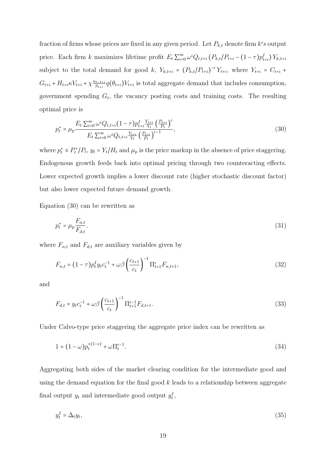fraction of firms whose prices are fixed in any given period. Let  $P_{k,t}$  denote firm  $k's$  output price. Each firm k maximizes lifetime profit  $E_t \sum_{i=0}^{\infty} \omega^i Q_{t,t+i} (P_{k,t}/P_{t+i} - (1-\tau) p_{t+i}^I) Y_{k,t+i}$ subject to the total demand for good k,  $Y_{k,t+i} = (P_{k,t}/P_{t+i})^{-\epsilon} Y_{t+i}$ , where  $Y_{t+i} = C_{t+i}$  $G_{t+i} + H_{t+i} \kappa V_{t+i} + \chi \frac{u_{t-1+i}}{S_{t+i}}$  $\frac{S_{t-1+i}}{S_{t+i}}q(\theta_{t+i})V_{t+i}$  is total aggregate demand that includes consumption, government spending  $G_t$ , the vacancy posting costs and training costs. The resulting optimal price is

$$
p_t^* = \mu_p \frac{E_t \sum_{i=0}^{\infty} \omega^i Q_{t,t+i} (1-\tau) p_{t+i}^I \frac{Y_{t+i}}{Y_t} \left(\frac{P_{t+i}}{P_t}\right)^{\epsilon}}{E_t \sum_{i=0}^{\infty} \omega^i Q_{t,t+i} \frac{Y_{t+i}}{Y_t} \left(\frac{P_{t+i}}{P_t}\right)^{\epsilon-1}},
$$
\n(30)

where  $p_t^* \equiv P_t^*$  $\mathcal{U}_t^*/P_t$ ,  $y_t = Y_t/H_t$  and  $\mu_p$  is the price markup in the absence of price staggering. Endogenous growth feeds back into optimal pricing through two counteracting effects. Lower expected growth implies a lower discount rate (higher stochastic discount factor) but also lower expected future demand growth.

Equation (30) can be rewritten as

$$
p_t^* = \mu_p \frac{F_{n,t}}{F_{d,t}},\tag{31}
$$

where  $F_{n,t}$  and  $F_{d,t}$  are auxiliary variables given by

$$
F_{n,t} = (1 - \tau)p_t^I y_t c_t^{-1} + \omega \beta \left(\frac{c_{t+1}}{c_t}\right)^{-1} \Pi_{t+1}^{\epsilon} F_{n,t+1},\tag{32}
$$

and

$$
F_{d,t} = y_t c_t^{-1} + \omega \beta \left(\frac{c_{t+1}}{c_t}\right)^{-1} \Pi_{t+1}^{\epsilon-1} F_{d,t+1}.
$$
\n(33)

Under Calvo-type price staggering the aggregate price index can be rewritten as

$$
1 = (1 - \omega)p_t^{*(1 - \epsilon)} + \omega \Pi_t^{\epsilon - 1}.
$$
\n(34)

Aggregating both sides of the market clearing condition for the intermediate good and using the demand equation for the final good  $k$  leads to a relationship between aggregate final output  $y_t$  and intermediate good output  $y_t^I$ ,

$$
y_t^I = \Delta_t y_t,\tag{35}
$$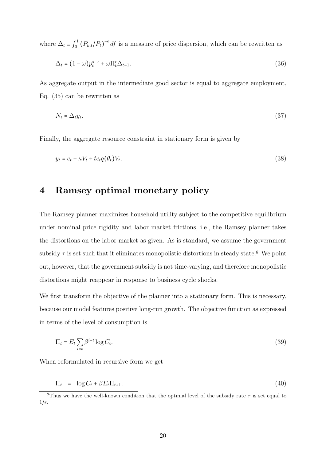where  $\Delta_t \equiv \int_0^1$  $\int_0^1 (P_{k,t}/P_t)^{-\epsilon} df$  is a measure of price dispersion, which can be rewritten as

$$
\Delta_t = (1 - \omega)p_t^{* - \epsilon} + \omega \Pi_t^{\epsilon} \Delta_{t-1}.
$$
\n(36)

As aggregate output in the intermediate good sector is equal to aggregate employment, Eq. (35) can be rewritten as

$$
N_t = \Delta_t y_t. \tag{37}
$$

Finally, the aggregate resource constraint in stationary form is given by

$$
y_t = c_t + \kappa V_t + t c_t q(\theta_t) V_t. \tag{38}
$$

# 4 Ramsey optimal monetary policy

The Ramsey planner maximizes household utility subject to the competitive equilibrium under nominal price rigidity and labor market frictions, i.e., the Ramsey planner takes the distortions on the labor market as given. As is standard, we assume the government subsidy  $\tau$  is set such that it eliminates monopolistic distortions in steady state.<sup>8</sup> We point out, however, that the government subsidy is not time-varying, and therefore monopolistic distortions might reappear in response to business cycle shocks.

We first transform the objective of the planner into a stationary form. This is necessary, because our model features positive long-run growth. The objective function as expressed in terms of the level of consumption is

$$
\Pi_t = E_t \sum_{i=t} \beta^{i-t} \log C_i.
$$
\n(39)

When reformulated in recursive form we get

$$
\Pi_t = \log C_t + \beta E_t \Pi_{t+1}.
$$
\n(40)

<sup>&</sup>lt;sup>8</sup>Thus we have the well-known condition that the optimal level of the subsidy rate  $\tau$  is set equal to  $1/\epsilon$ .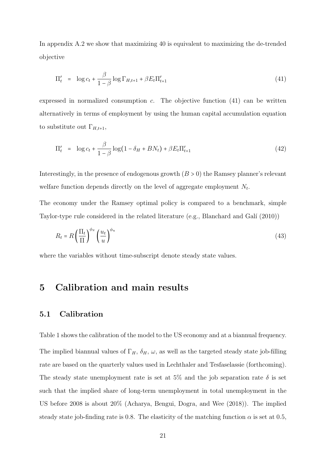In appendix A.2 we show that maximizing 40 is equivalent to maximizing the de-trended objective

$$
\Pi'_t = \log c_t + \frac{\beta}{1-\beta} \log \Gamma_{H,t+1} + \beta E_t \Pi'_{t+1} \tag{41}
$$

expressed in normalized consumption c. The objective function (41) can be written alternatively in terms of employment by using the human capital accumulation equation to substitute out  $\Gamma_{H,t+1}$ ,

$$
\Pi'_t = \log c_t + \frac{\beta}{1 - \beta} \log(1 - \delta_H + BN_t) + \beta E_t \Pi'_{t+1}
$$
\n(42)

Interestingly, in the presence of endogenous growth  $(B > 0)$  the Ramsey planner's relevant welfare function depends directly on the level of aggregate employment  $N_t$ .

The economy under the Ramsey optimal policy is compared to a benchmark, simple Taylor-type rule considered in the related literature (e.g., Blanchard and Galí  $(2010)$ )

$$
R_t = R \left(\frac{\Pi_t}{\Pi}\right)^{\phi_\pi} \left(\frac{u_t}{u}\right)^{\phi_u} \tag{43}
$$

where the variables without time-subscript denote steady state values.

# 5 Calibration and main results

#### 5.1 Calibration

Table 1 shows the calibration of the model to the US economy and at a biannual frequency. The implied biannual values of  $\Gamma_H$ ,  $\delta_H$ ,  $\omega$ , as well as the targeted steady state job-filling rate are based on the quarterly values used in Lechthaler and Tesfaselassie (forthcoming). The steady state unemployment rate is set at 5% and the job separation rate  $\delta$  is set such that the implied share of long-term unemployment in total unemployment in the US before 2008 is about 20% (Acharya, Bengui, Dogra, and Wee (2018)). The implied steady state job-finding rate is 0.8. The elasticity of the matching function  $\alpha$  is set at 0.5,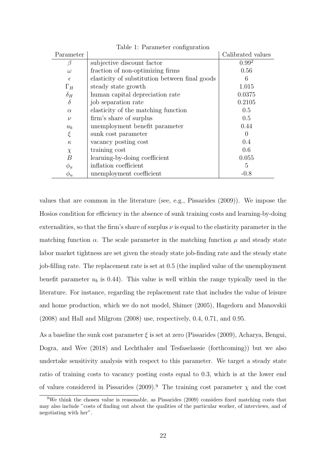| Parameter  |                                                | Calibrated values |
|------------|------------------------------------------------|-------------------|
| ß          | subjective discount factor                     | 0.99 <sup>2</sup> |
| $\omega$   | fraction of non-optimizing firms               | 0.56              |
| $\epsilon$ | elasticity of substitution between final goods | 6                 |
| $\Gamma_H$ | steady state growth                            | 1.015             |
| $\delta_H$ | human capital depreciation rate                | 0.0375            |
| $\delta$   | job separation rate                            | 0.2105            |
| $\alpha$   | elasticity of the matching function            | 0.5               |
| $\nu$      | firm's share of surplus                        | 0.5               |
| $u_{b}$    | unemployment benefit parameter                 | 0.44              |
| ξ          | sunk cost parameter                            |                   |
| $\kappa$   | vacancy posting cost                           | 0.4               |
| $\chi$     | training cost                                  | 0.6               |
| В          | learning-by-doing coefficient                  | 0.055             |
| $\phi_\pi$ | inflation coefficient                          | 5                 |
| $\phi_u$   | unemployment coefficient                       | $-0.8$            |

Table 1: Parameter configuration

values that are common in the literature (see, e.g., Pissarides (2009)). We impose the Hosios condition for efficiency in the absence of sunk training costs and learning-by-doing externalities, so that the firm's share of surplus  $\nu$  is equal to the elasticity parameter in the matching function  $\alpha$ . The scale parameter in the matching function  $\mu$  and steady state labor market tightness are set given the steady state job-finding rate and the steady state job-filling rate. The replacement rate is set at 0.5 (the implied value of the unemployment benefit parameter  $u<sub>b</sub>$  is 0.44). This value is well within the range typically used in the literature. For instance, regarding the replacement rate that includes the value of leisure and home production, which we do not model, Shimer (2005), Hagedorn and Manovskii (2008) and Hall and Milgrom (2008) use, respectively, 0.4, 0.71, and 0.95.

As a baseline the sunk cost parameter  $\xi$  is set at zero (Pissarides (2009), Acharya, Bengui, Dogra, and Wee (2018) and Lechthaler and Tesfaselassie (forthcoming)) but we also undertake sensitivity analysis with respect to this parameter. We target a steady state ratio of training costs to vacancy posting costs equal to 0.3, which is at the lower end of values considered in Pissarides (2009).<sup>9</sup> The training cost parameter  $\chi$  and the cost

<sup>9</sup>We think the chosen value is reasonable, as Pissarides (2009) considers fixed matching costs that may also include "costs of finding out about the qualities of the particular worker, of interviews, and of negotiating with her".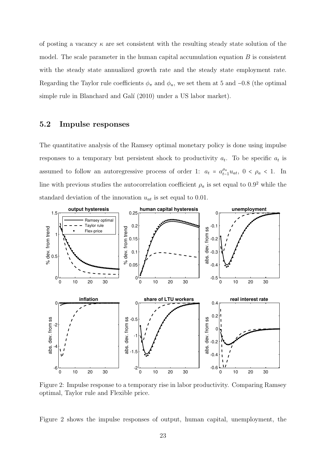of posting a vacancy  $\kappa$  are set consistent with the resulting steady state solution of the model. The scale parameter in the human capital accumulation equation  $B$  is consistent with the steady state annualized growth rate and the steady state employment rate. Regarding the Taylor rule coefficients  $\phi_{\pi}$  and  $\phi_{u}$ , we set them at 5 and -0.8 (the optimal simple rule in Blanchard and Galí (2010) under a US labor market).

#### 5.2 Impulse responses

The quantitative analysis of the Ramsey optimal monetary policy is done using impulse responses to a temporary but persistent shock to productivity  $a_t$ . To be specific  $a_t$  is assumed to follow an autoregressive process of order 1:  $a_t = a_{t-1}^{\rho_a} u_{at}$ ,  $0 < \rho_a < 1$ . In line with previous studies the autocorrelation coefficient  $\rho_a$  is set equal to 0.9<sup>2</sup> while the standard deviation of the innovation  $u_{at}$  is set equal to 0.01.



Figure 2: Impulse response to a temporary rise in labor productivity. Comparing Ramsey optimal, Taylor rule and Flexible price.

Figure 2 shows the impulse responses of output, human capital, unemployment, the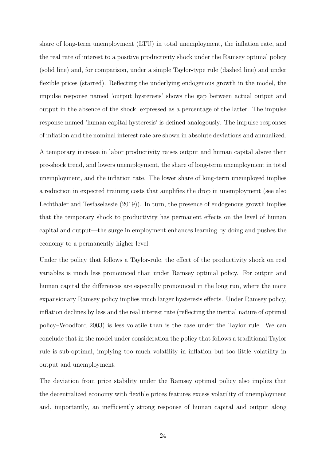share of long-term unemployment (LTU) in total unemployment, the inflation rate, and the real rate of interest to a positive productivity shock under the Ramsey optimal policy (solid line) and, for comparison, under a simple Taylor-type rule (dashed line) and under flexible prices (starred). Reflecting the underlying endogenous growth in the model, the impulse response named 'output hysteresis' shows the gap between actual output and output in the absence of the shock, expressed as a percentage of the latter. The impulse response named 'human capital hysteresis' is defined analogously. The impulse responses of inflation and the nominal interest rate are shown in absolute deviations and annualized.

A temporary increase in labor productivity raises output and human capital above their pre-shock trend, and lowers unemployment, the share of long-term unemployment in total unemployment, and the inflation rate. The lower share of long-term unemployed implies a reduction in expected training costs that amplifies the drop in unemployment (see also Lechthaler and Tesfaselassie (2019)). In turn, the presence of endogenous growth implies that the temporary shock to productivity has permanent effects on the level of human capital and output—the surge in employment enhances learning by doing and pushes the economy to a permanently higher level.

Under the policy that follows a Taylor-rule, the effect of the productivity shock on real variables is much less pronounced than under Ramsey optimal policy. For output and human capital the differences are especially pronounced in the long run, where the more expansionary Ramsey policy implies much larger hysteresis effects. Under Ramsey policy, inflation declines by less and the real interest rate (reflecting the inertial nature of optimal policy–Woodford 2003) is less volatile than is the case under the Taylor rule. We can conclude that in the model under consideration the policy that follows a traditional Taylor rule is sub-optimal, implying too much volatility in inflation but too little volatility in output and unemployment.

The deviation from price stability under the Ramsey optimal policy also implies that the decentralized economy with flexible prices features excess volatility of unemployment and, importantly, an inefficiently strong response of human capital and output along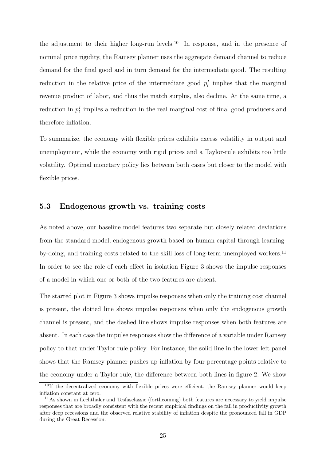the adjustment to their higher long-run levels.<sup>10</sup> In response, and in the presence of nominal price rigidity, the Ramsey planner uses the aggregate demand channel to reduce demand for the final good and in turn demand for the intermediate good. The resulting reduction in the relative price of the intermediate good  $p_t^I$  implies that the marginal revenue product of labor, and thus the match surplus, also decline. At the same time, a reduction in  $p_t^I$  implies a reduction in the real marginal cost of final good producers and therefore inflation.

To summarize, the economy with flexible prices exhibits excess volatility in output and unemployment, while the economy with rigid prices and a Taylor-rule exhibits too little volatility. Optimal monetary policy lies between both cases but closer to the model with flexible prices.

#### 5.3 Endogenous growth vs. training costs

As noted above, our baseline model features two separate but closely related deviations from the standard model, endogenous growth based on human capital through learningby-doing, and training costs related to the skill loss of long-term unemployed workers.<sup>11</sup> In order to see the role of each effect in isolation Figure 3 shows the impulse responses of a model in which one or both of the two features are absent.

The starred plot in Figure 3 shows impulse responses when only the training cost channel is present, the dotted line shows impulse responses when only the endogenous growth channel is present, and the dashed line shows impulse responses when both features are absent. In each case the impulse responses show the difference of a variable under Ramsey policy to that under Taylor rule policy. For instance, the solid line in the lower left panel shows that the Ramsey planner pushes up inflation by four percentage points relative to the economy under a Taylor rule, the difference between both lines in figure 2. We show

 $10$ If the decentralized economy with flexible prices were efficient, the Ramsey planner would keep inflation constant at zero.

<sup>&</sup>lt;sup>11</sup>As shown in Lechthaler and Tesfaselassie (forthcoming) both features are necessary to yield impulse responses that are broadly consistent with the recent empirical findings on the fall in productivity growth after deep recessions and the observed relative stability of inflation despite the pronounced fall in GDP during the Great Recession.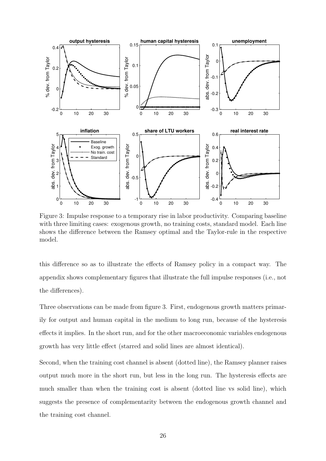

Figure 3: Impulse response to a temporary rise in labor productivity. Comparing baseline with three limiting cases: exogenous growth, no training costs, standard model. Each line shows the difference between the Ramsey optimal and the Taylor-rule in the respective model.

this difference so as to illustrate the effects of Ramsey policy in a compact way. The appendix shows complementary figures that illustrate the full impulse responses (i.e., not the differences).

Three observations can be made from figure 3. First, endogenous growth matters primarily for output and human capital in the medium to long run, because of the hysteresis effects it implies. In the short run, and for the other macroeconomic variables endogenous growth has very little effect (starred and solid lines are almost identical).

Second, when the training cost channel is absent (dotted line), the Ramsey planner raises output much more in the short run, but less in the long run. The hysteresis effects are much smaller than when the training cost is absent (dotted line vs solid line), which suggests the presence of complementarity between the endogenous growth channel and the training cost channel.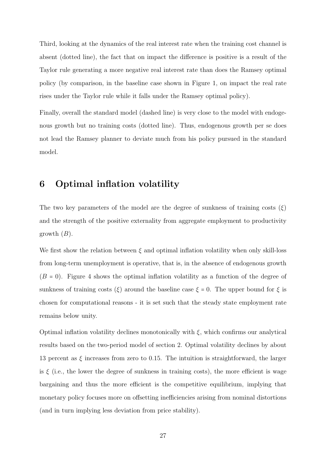Third, looking at the dynamics of the real interest rate when the training cost channel is absent (dotted line), the fact that on impact the difference is positive is a result of the Taylor rule generating a more negative real interest rate than does the Ramsey optimal policy (by comparison, in the baseline case shown in Figure 1, on impact the real rate rises under the Taylor rule while it falls under the Ramsey optimal policy).

Finally, overall the standard model (dashed line) is very close to the model with endogenous growth but no training costs (dotted line). Thus, endogenous growth per se does not lead the Ramsey planner to deviate much from his policy pursued in the standard model.

## 6 Optimal inflation volatility

The two key parameters of the model are the degree of sunkness of training costs  $(\xi)$ and the strength of the positive externality from aggregate employment to productivity growth  $(B)$ .

We first show the relation between  $\xi$  and optimal inflation volatility when only skill-loss from long-term unemployment is operative, that is, in the absence of endogenous growth  $(B = 0)$ . Figure 4 shows the optimal inflation volatility as a function of the degree of sunkness of training costs  $(\xi)$  around the baseline case  $\xi = 0$ . The upper bound for  $\xi$  is chosen for computational reasons - it is set such that the steady state employment rate remains below unity.

Optimal inflation volatility declines monotonically with  $\xi$ , which confirms our analytical results based on the two-period model of section 2. Optimal volatility declines by about 13 percent as  $\xi$  increases from zero to 0.15. The intuition is straightforward, the larger is  $\xi$  (i.e., the lower the degree of sunkness in training costs), the more efficient is wage bargaining and thus the more efficient is the competitive equilibrium, implying that monetary policy focuses more on offsetting inefficiencies arising from nominal distortions (and in turn implying less deviation from price stability).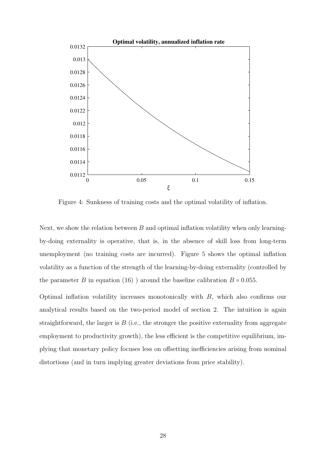

Figure 4: Sunkness of training costs and the optimal volatility of inflation.

Next, we show the relation between  $B$  and optimal inflation volatility when only learningby-doing externality is operative, that is, in the absence of skill loss from long-term unemployment (no training costs are incurred). Figure 5 shows the optimal inflation volatility as a function of the strength of the learning-by-doing externality (controlled by the parameter B in equation (16) ) around the baseline calibration  $B = 0.055$ .

Optimal inflation volatility increases monotonically with B, which also confirms our analytical results based on the two-period model of section 2. The intuition is again straightforward, the larger is  $B$  (i.e., the stronger the positive externality from aggregate employment to productivity growth), the less efficient is the competitive equilibrium, implying that monetary policy focuses less on offsetting inefficiencies arising from nominal distortions (and in turn implying greater deviations from price stability).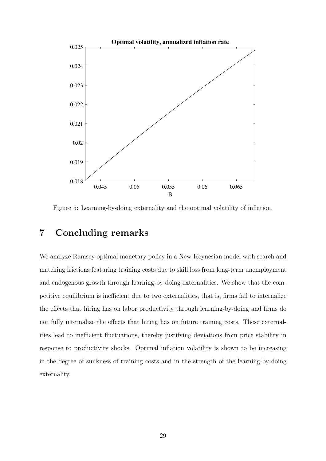

Figure 5: Learning-by-doing externality and the optimal volatility of inflation.

# 7 Concluding remarks

We analyze Ramsey optimal monetary policy in a New-Keynesian model with search and matching frictions featuring training costs due to skill loss from long-term unemployment and endogenous growth through learning-by-doing externalities. We show that the competitive equilibrium is inefficient due to two externalities, that is, firms fail to internalize the effects that hiring has on labor productivity through learning-by-doing and firms do not fully internalize the effects that hiring has on future training costs. These externalities lead to inefficient fluctuations, thereby justifying deviations from price stability in response to productivity shocks. Optimal inflation volatility is shown to be increasing in the degree of sunkness of training costs and in the strength of the learning-by-doing externality.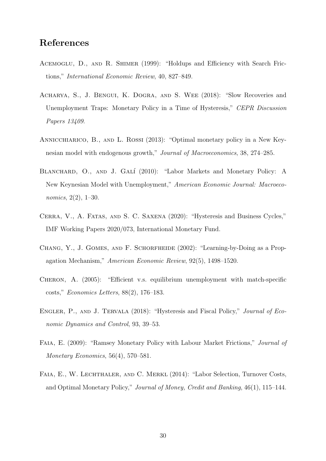# References

- ACEMOGLU, D., AND R. SHIMER (1999): "Holdups and Efficiency with Search Frictions," International Economic Review, 40, 827–849.
- Acharya, S., J. Bengui, K. Dogra, and S. Wee (2018): "Slow Recoveries and Unemployment Traps: Monetary Policy in a Time of Hysteresis," CEPR Discussion Papers 13409.
- Annicchiarico, B., and L. Rossi (2013): "Optimal monetary policy in a New Keynesian model with endogenous growth," Journal of Macroeconomics, 38, 274–285.
- BLANCHARD, O., AND J. GALÍ (2010): "Labor Markets and Monetary Policy: A New Keynesian Model with Unemployment," American Economic Journal: Macroeconomics, 2(2), 1–30.
- Cerra, V., A. Fatas, and S. C. Saxena (2020): "Hysteresis and Business Cycles," IMF Working Papers 2020/073, International Monetary Fund.
- Chang, Y., J. Gomes, and F. Schorfheide (2002): "Learning-by-Doing as a Propagation Mechanism," American Economic Review, 92(5), 1498–1520.
- Cheron, A. (2005): "Efficient v.s. equilibrium unemployment with match-specific costs," Economics Letters, 88(2), 176–183.
- ENGLER, P., AND J. TERVALA (2018): "Hysteresis and Fiscal Policy," Journal of Economic Dynamics and Control, 93, 39–53.
- Faia, E. (2009): "Ramsey Monetary Policy with Labour Market Frictions," Journal of Monetary Economics, 56(4), 570–581.
- FAIA, E., W. LECHTHALER, AND C. MERKL (2014): "Labor Selection, Turnover Costs, and Optimal Monetary Policy," Journal of Money, Credit and Banking, 46(1), 115–144.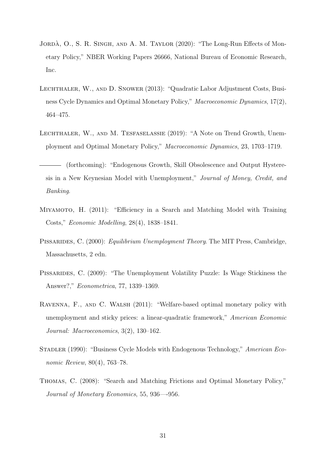- JORDA, O., S. R. SINGH, AND A. M. TAYLOR (2020): "The Long-Run Effects of Monetary Policy," NBER Working Papers 26666, National Bureau of Economic Research, Inc.
- Lechthaler, W., and D. Snower (2013): "Quadratic Labor Adjustment Costs, Business Cycle Dynamics and Optimal Monetary Policy," Macroeconomic Dynamics, 17(2), 464–475.
- Lechthaler, W., and M. Tesfaselassie (2019): "A Note on Trend Growth, Unemployment and Optimal Monetary Policy," Macroeconomic Dynamics, 23, 1703–1719.

(forthcoming): "Endogenous Growth, Skill Obsolescence and Output Hysteresis in a New Keynesian Model with Unemployment," Journal of Money, Credit, and Banking.

- Miyamoto, H. (2011): "Efficiency in a Search and Matching Model with Training Costs," Economic Modelling, 28(4), 1838–1841.
- PISSARIDES, C. (2000): *Equilibrium Unemployment Theory*. The MIT Press, Cambridge, Massachusetts, 2 edn.
- Pissarides, C. (2009): "The Unemployment Volatility Puzzle: Is Wage Stickiness the Answer?," Econometrica, 77, 1339–1369.
- Ravenna, F., and C. Walsh (2011): "Welfare-based optimal monetary policy with unemployment and sticky prices: a linear-quadratic framework," American Economic Journal: Macroeconomics, 3(2), 130–162.
- Stadler (1990): "Business Cycle Models with Endogenous Technology," American Economic Review, 80(4), 763–78.
- Thomas, C. (2008): "Search and Matching Frictions and Optimal Monetary Policy," Journal of Monetary Economics, 55, 936—-956.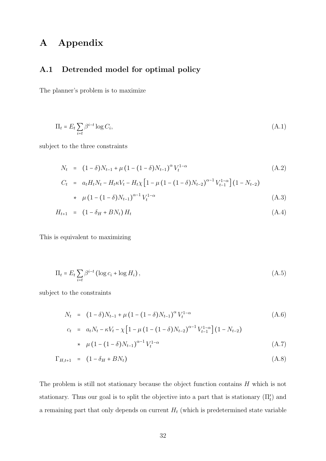# A Appendix

#### A.1 Detrended model for optimal policy

The planner's problem is to maximize

$$
\Pi_t = E_t \sum_{i=t} \beta^{i-t} \log C_i,\tag{A.1}
$$

subject to the three constraints

$$
N_t = (1 - \delta)N_{t-1} + \mu (1 - (1 - \delta)N_{t-1})^{\alpha} V_t^{1-\alpha}
$$
\n(A.2)

$$
C_t = a_t H_t N_t - H_t \kappa V_t - H_t \chi \left[ 1 - \mu \left( 1 - (1 - \delta) N_{t-2} \right)^{\alpha - 1} V_{t-1}^{1 - \alpha} \right] \left( 1 - N_{t-2} \right)
$$
  
 
$$
\star \mu \left( 1 - (1 - \delta) N_{t-1} \right)^{\alpha - 1} V_t^{1 - \alpha} \tag{A.3}
$$

$$
H_{t+1} = (1 - \delta_H + BN_t) H_t
$$
 (A.4)

This is equivalent to maximizing

$$
\Pi_t = E_t \sum_{i=t} \beta^{i-t} \left( \log c_i + \log H_i \right),\tag{A.5}
$$

subject to the constraints

$$
N_t = (1 - \delta)N_{t-1} + \mu (1 - (1 - \delta)N_{t-1})^{\alpha} V_t^{1-\alpha}
$$
\n(A.6)

$$
c_t = a_t N_t - \kappa V_t - \chi \left[ 1 - \mu \left( 1 - (1 - \delta) N_{t-2} \right)^{\alpha - 1} V_{t-1}^{1 - \alpha} \right] \left( 1 - N_{t-2} \right)
$$
  
 
$$
\star \mu \left( 1 - (1 - \delta) N_{t-1} \right)^{\alpha - 1} V_t^{1 - \alpha} \tag{A.7}
$$

$$
\Gamma_{H,t+1} = (1 - \delta_H + BN_t) \tag{A.8}
$$

The problem is still not stationary because the object function contains H which is not stationary. Thus our goal is to split the objective into a part that is stationary  $(\Pi'_t)$  and a remaining part that only depends on current  $H_t$  (which is predetermined state variable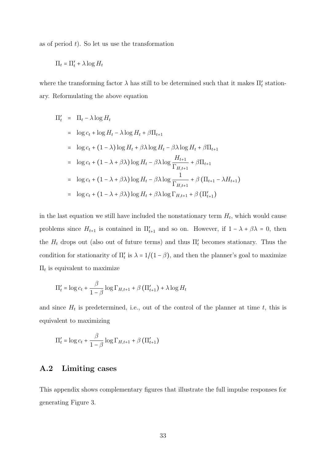as of period  $t$ ). So let us use the transformation

$$
\Pi_t = \Pi'_t + \lambda \log H_t
$$

where the transforming factor  $\lambda$  has still to be determined such that it makes  $\Pi'_t$  stationary. Reformulating the above equation

$$
\Pi'_{t} = \Pi_{t} - \lambda \log H_{t}
$$
\n
$$
= \log c_{t} + \log H_{t} - \lambda \log H_{t} + \beta \Pi_{t+1}
$$
\n
$$
= \log c_{t} + (1 - \lambda) \log H_{t} + \beta \lambda \log H_{t} - \beta \lambda \log H_{t} + \beta \Pi_{t+1}
$$
\n
$$
= \log c_{t} + (1 - \lambda + \beta \lambda) \log H_{t} - \beta \lambda \log \frac{H_{t+1}}{\Gamma_{H,t+1}} + \beta \Pi_{t+1}
$$
\n
$$
= \log c_{t} + (1 - \lambda + \beta \lambda) \log H_{t} - \beta \lambda \log \frac{1}{\Gamma_{H,t+1}} + \beta (\Pi_{t+1} - \lambda H_{t+1})
$$
\n
$$
= \log c_{t} + (1 - \lambda + \beta \lambda) \log H_{t} + \beta \lambda \log \Gamma_{H,t+1} + \beta (\Pi'_{t+1})
$$

in the last equation we still have included the nonstationary term  $H_t$ , which would cause problems since  $H_{t+1}$  is contained in  $\Pi'_{t+1}$  and so on. However, if  $1 - \lambda + \beta \lambda = 0$ , then the  $H_t$  drops out (also out of future terms) and thus  $\Pi'_t$  becomes stationary. Thus the condition for stationarity of  $\Pi'_{t}$  is  $\lambda = 1/(1 - \beta)$ , and then the planner's goal to maximize  $\Pi_t$  is equivalent to maximize

$$
\Pi'_{t} = \log c_{t} + \frac{\beta}{1-\beta} \log \Gamma_{H,t+1} + \beta \left( \Pi'_{t+1} \right) + \lambda \log H_{t}
$$

and since  $H_t$  is predetermined, i.e., out of the control of the planner at time t, this is equivalent to maximizing

$$
\Pi'_{t} = \log c_{t} + \frac{\beta}{1-\beta} \log \Gamma_{H,t+1} + \beta \left( \Pi'_{t+1} \right)
$$

#### A.2 Limiting cases

This appendix shows complementary figures that illustrate the full impulse responses for generating Figure 3.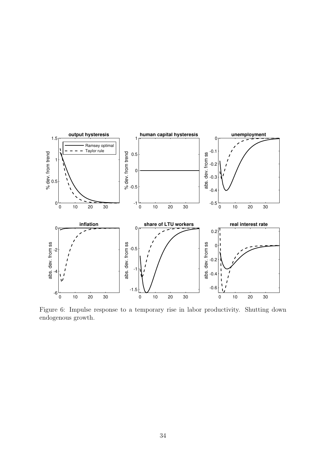

Figure 6: Impulse response to a temporary rise in labor productivity. Shutting down endogenous growth.